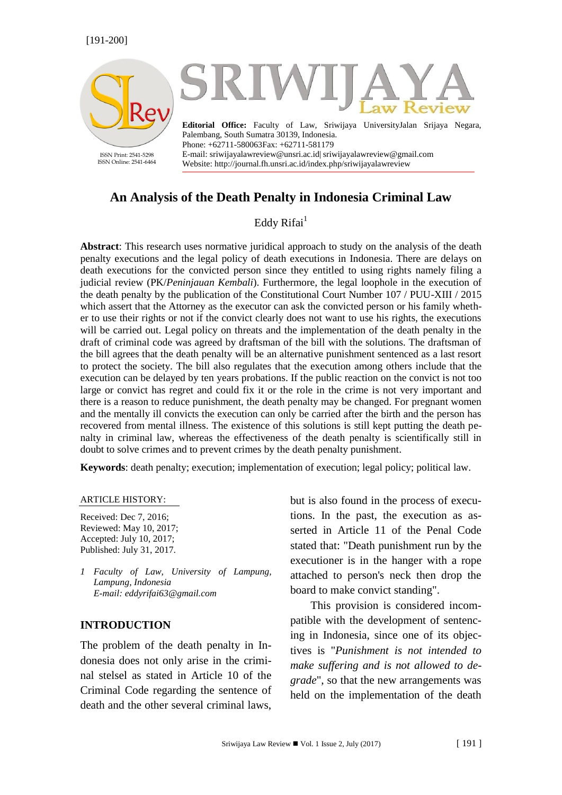

# **An Analysis of the Death Penalty in Indonesia Criminal Law**

### Eddy  $Rifai<sup>1</sup>$

**Abstract**: This research uses normative juridical approach to study on the analysis of the death penalty executions and the legal policy of death executions in Indonesia. There are delays on death executions for the convicted person since they entitled to using rights namely filing a judicial review (PK/*Peninjauan Kembali*). Furthermore, the legal loophole in the execution of the death penalty by the publication of the Constitutional Court Number 107 / PUU-XIII / 2015 which assert that the Attorney as the executor can ask the convicted person or his family whether to use their rights or not if the convict clearly does not want to use his rights, the executions will be carried out. Legal policy on threats and the implementation of the death penalty in the draft of criminal code was agreed by draftsman of the bill with the solutions. The draftsman of the bill agrees that the death penalty will be an alternative punishment sentenced as a last resort to protect the society. The bill also regulates that the execution among others include that the execution can be delayed by ten years probations. If the public reaction on the convict is not too large or convict has regret and could fix it or the role in the crime is not very important and there is a reason to reduce punishment, the death penalty may be changed. For pregnant women and the mentally ill convicts the execution can only be carried after the birth and the person has recovered from mental illness. The existence of this solutions is still kept putting the death penalty in criminal law, whereas the effectiveness of the death penalty is scientifically still in doubt to solve crimes and to prevent crimes by the death penalty punishment.

**Keywords**: death penalty; execution; implementation of execution; legal policy; political law.

#### ARTICLE HISTORY:

Received: Dec 7, 2016; Reviewed: May 10, 2017; Accepted: July 10, 2017; Published: July 31, 2017.

*1 Faculty of Law, University of Lampung, Lampung, Indonesia E-mail: [eddyrifai63@gmail.com](mailto:eddyrifai63@gmail.com)*

#### **INTRODUCTION**

The problem of the death penalty in Indonesia does not only arise in the criminal stelsel as stated in Article 10 of the Criminal Code regarding the sentence of death and the other several criminal laws,

but is also found in the process of executions. In the past, the execution as asserted in Article 11 of the Penal Code stated that: "Death punishment run by the executioner is in the hanger with a rope attached to person's neck then drop the board to make convict standing".

This provision is considered incompatible with the development of sentencing in Indonesia, since one of its objectives is "*Punishment is not intended to make suffering and is not allowed to degrade*", so that the new arrangements was held on the implementation of the death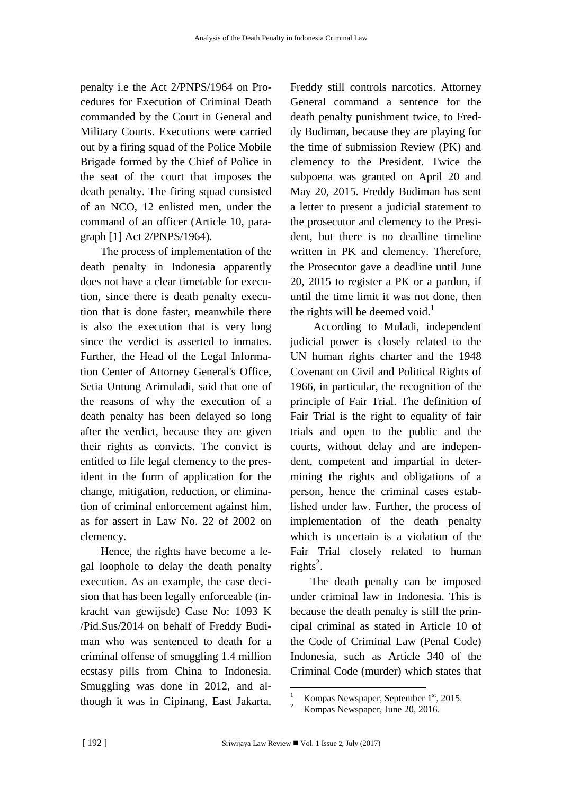penalty i.e the Act 2/PNPS/1964 on Procedures for Execution of Criminal Death commanded by the Court in General and Military Courts. Executions were carried out by a firing squad of the Police Mobile Brigade formed by the Chief of Police in the seat of the court that imposes the death penalty. The firing squad consisted of an NCO, 12 enlisted men, under the command of an officer (Article 10, paragraph [1] Act 2/PNPS/1964).

The process of implementation of the death penalty in Indonesia apparently does not have a clear timetable for execution, since there is death penalty execution that is done faster, meanwhile there is also the execution that is very long since the verdict is asserted to inmates. Further, the Head of the Legal Information Center of Attorney General's Office, Setia Untung Arimuladi, said that one of the reasons of why the execution of a death penalty has been delayed so long after the verdict, because they are given their rights as convicts. The convict is entitled to file legal clemency to the president in the form of application for the change, mitigation, reduction, or elimination of criminal enforcement against him, as for assert in Law No. 22 of 2002 on clemency.

Hence, the rights have become a legal loophole to delay the death penalty execution. As an example, the case decision that has been legally enforceable (inkracht van gewijsde) Case No: 1093 K /Pid.Sus/2014 on behalf of Freddy Budiman who was sentenced to death for a criminal offense of smuggling 1.4 million ecstasy pills from China to Indonesia. Smuggling was done in 2012, and although it was in Cipinang, East Jakarta,

Freddy still controls narcotics. Attorney General command a sentence for the death penalty punishment twice, to Freddy Budiman, because they are playing for the time of submission Review (PK) and clemency to the President. Twice the subpoena was granted on April 20 and May 20, 2015. Freddy Budiman has sent a letter to present a judicial statement to the prosecutor and clemency to the President, but there is no deadline timeline written in PK and clemency. Therefore, the Prosecutor gave a deadline until June 20, 2015 to register a PK or a pardon, if until the time limit it was not done, then the rights will be deemed void. $<sup>1</sup>$ </sup>

According to Muladi, independent judicial power is closely related to the UN human rights charter and the 1948 Covenant on Civil and Political Rights of 1966, in particular, the recognition of the principle of Fair Trial. The definition of Fair Trial is the right to equality of fair trials and open to the public and the courts, without delay and are independent, competent and impartial in determining the rights and obligations of a person, hence the criminal cases established under law. Further, the process of implementation of the death penalty which is uncertain is a violation of the Fair Trial closely related to human rights<sup>2</sup>.

The death penalty can be imposed under criminal law in Indonesia. This is because the death penalty is still the principal criminal as stated in Article 10 of the Code of Criminal Law (Penal Code) Indonesia, such as Article 340 of the Criminal Code (murder) which states that

<sup>&</sup>lt;sup>1</sup> Kompas Newspaper, September  $1<sup>st</sup>$ , 2015.

 $2^{\circ}$  Kompas Newspaper, June 20, 2016.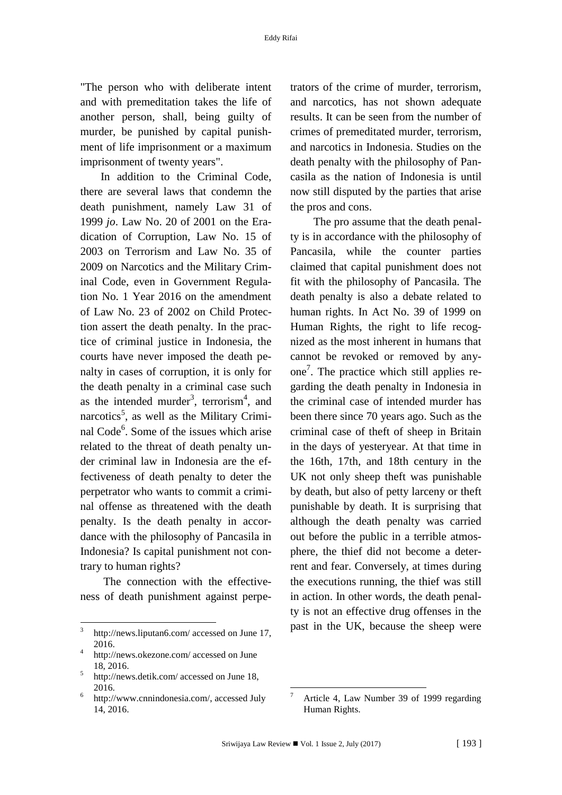"The person who with deliberate intent and with premeditation takes the life of another person, shall, being guilty of murder, be punished by capital punishment of life imprisonment or a maximum imprisonment of twenty years".

In addition to the Criminal Code, there are several laws that condemn the death punishment, namely Law 31 of 1999 *jo*. Law No. 20 of 2001 on the Eradication of Corruption, Law No. 15 of 2003 on Terrorism and Law No. 35 of 2009 on Narcotics and the Military Criminal Code, even in Government Regulation No. 1 Year 2016 on the amendment of Law No. 23 of 2002 on Child Protection assert the death penalty. In the practice of criminal justice in Indonesia, the courts have never imposed the death penalty in cases of corruption, it is only for the death penalty in a criminal case such as the intended murder<sup>3</sup>, terrorism<sup>4</sup>, and narcotics<sup>5</sup>, as well as the Military Criminal Code<sup>6</sup>. Some of the issues which arise related to the threat of death penalty under criminal law in Indonesia are the effectiveness of death penalty to deter the perpetrator who wants to commit a criminal offense as threatened with the death penalty. Is the death penalty in accordance with the philosophy of Pancasila in Indonesia? Is capital punishment not contrary to human rights?

The connection with the effectiveness of death punishment against perpe-

1

trators of the crime of murder, terrorism, and narcotics, has not shown adequate results. It can be seen from the number of crimes of premeditated murder, terrorism, and narcotics in Indonesia. Studies on the death penalty with the philosophy of Pancasila as the nation of Indonesia is until now still disputed by the parties that arise the pros and cons.

The pro assume that the death penalty is in accordance with the philosophy of Pancasila, while the counter parties claimed that capital punishment does not fit with the philosophy of Pancasila. The death penalty is also a debate related to human rights. In Act No. 39 of 1999 on Human Rights, the right to life recognized as the most inherent in humans that cannot be revoked or removed by anyone 7 . The practice which still applies regarding the death penalty in Indonesia in the criminal case of intended murder has been there since 70 years ago. Such as the criminal case of theft of sheep in Britain in the days of yesteryear. At that time in the 16th, 17th, and 18th century in the UK not only sheep theft was punishable by death, but also of petty larceny or theft punishable by death. It is surprising that although the death penalty was carried out before the public in a terrible atmosphere, the thief did not become a deterrent and fear. Conversely, at times during the executions running, the thief was still in action. In other words, the death penalty is not an effective drug offenses in the past in the UK, because the sheep were

<sup>3</sup> http://news.liputan6.com/ accessed on June 17, 2016.

<sup>4</sup> http://news.okezone.com/ accessed on June 18, 2016.

<sup>5</sup> http://news.detik.com/ accessed on June 18, 2016.

<sup>6</sup> http://www.cnnindonesia.com/, accessed July 14, 2016.

<sup>7</sup> Article 4, Law Number 39 of 1999 regarding Human Rights.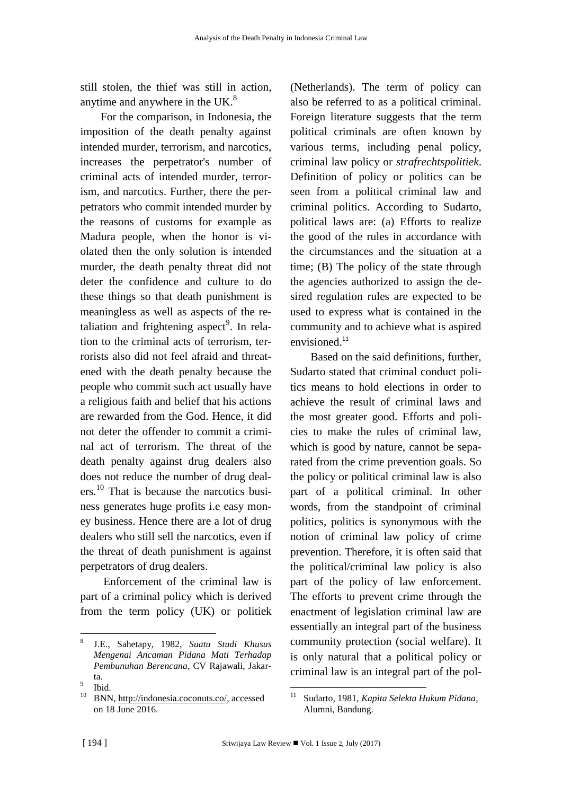still stolen, the thief was still in action, anytime and anywhere in the UK.<sup>8</sup>

For the comparison, in Indonesia, the imposition of the death penalty against intended murder, terrorism, and narcotics, increases the perpetrator's number of criminal acts of intended murder, terrorism, and narcotics. Further, there the perpetrators who commit intended murder by the reasons of customs for example as Madura people, when the honor is violated then the only solution is intended murder, the death penalty threat did not deter the confidence and culture to do these things so that death punishment is meaningless as well as aspects of the retaliation and frightening aspect<sup>9</sup>. In relation to the criminal acts of terrorism, terrorists also did not feel afraid and threatened with the death penalty because the people who commit such act usually have a religious faith and belief that his actions are rewarded from the God. Hence, it did not deter the offender to commit a criminal act of terrorism. The threat of the death penalty against drug dealers also does not reduce the number of drug dealers.<sup>10</sup> That is because the narcotics business generates huge profits i.e easy money business. Hence there are a lot of drug dealers who still sell the narcotics, even if the threat of death punishment is against perpetrators of drug dealers.

Enforcement of the criminal law is part of a criminal policy which is derived from the term policy (UK) or politiek

(Netherlands). The term of policy can also be referred to as a political criminal. Foreign literature suggests that the term political criminals are often known by various terms, including penal policy, criminal law policy or *strafrechtspolitiek*. Definition of policy or politics can be seen from a political criminal law and criminal politics. According to Sudarto, political laws are: (a) Efforts to realize the good of the rules in accordance with the circumstances and the situation at a time; (B) The policy of the state through the agencies authorized to assign the desired regulation rules are expected to be used to express what is contained in the community and to achieve what is aspired envisioned.<sup>11</sup>

Based on the said definitions, further, Sudarto stated that criminal conduct politics means to hold elections in order to achieve the result of criminal laws and the most greater good. Efforts and policies to make the rules of criminal law, which is good by nature, cannot be separated from the crime prevention goals. So the policy or political criminal law is also part of a political criminal. In other words, from the standpoint of criminal politics, politics is synonymous with the notion of criminal law policy of crime prevention. Therefore, it is often said that the political/criminal law policy is also part of the policy of law enforcement. The efforts to prevent crime through the enactment of legislation criminal law are essentially an integral part of the business community protection (social welfare). It is only natural that a political policy or criminal law is an integral part of the pol-

<sup>1</sup> 8 J.E., Sahetapy, 1982, *Suatu Studi Khusus Mengenai Ancaman Pidana Mati Terhadap Pembunuhan Berencana*, CV Rajawali, Jakarta.

<sup>9</sup> Ibid.

<sup>10</sup> BNN, [http://indonesia.coconuts.co/,](http://indonesia.coconuts.co/) accessed on 18 June 2016.

<sup>11</sup> Sudarto, 1981, *Kapita Selekta Hukum Pidana*, Alumni, Bandung.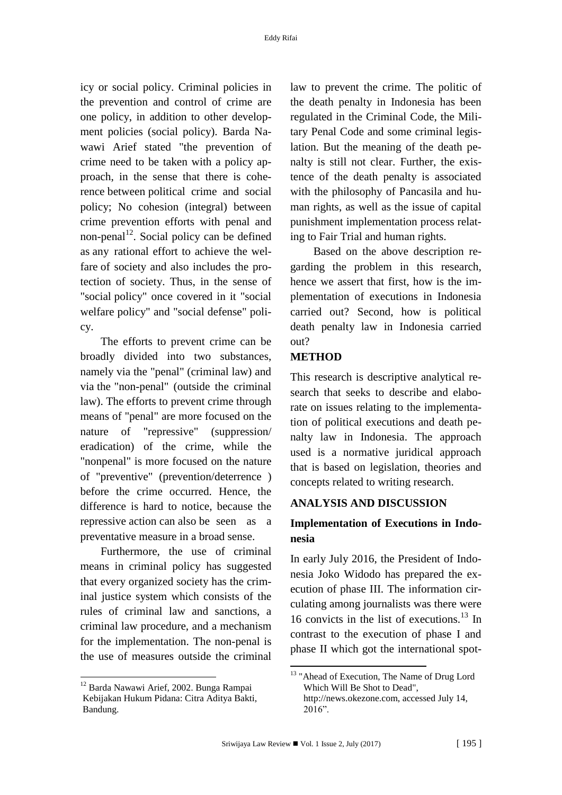icy or social policy. Criminal policies in the prevention and control of crime are one policy, in addition to other development policies (social policy). Barda Nawawi Arief stated "the prevention of crime need to be taken with a policy approach, in the sense that there is coherence between political crime and social policy; No cohesion (integral) between crime prevention efforts with penal and non-penal<sup>12</sup>. Social policy can be defined as any rational effort to achieve the welfare of society and also includes the protection of society. Thus, in the sense of "social policy" once covered in it "social welfare policy" and "social defense" policy.

The efforts to prevent crime can be broadly divided into two substances, namely via the "penal" (criminal law) and via the "non-penal" (outside the criminal law). The efforts to prevent crime through means of "penal" are more focused on the nature of "repressive" (suppression/ eradication) of the crime, while the "nonpenal" is more focused on the nature of "preventive" (prevention/deterrence ) before the crime occurred. Hence, the difference is hard to notice, because the repressive action can also be seen as a preventative measure in a broad sense.

Furthermore, the use of criminal means in criminal policy has suggested that every organized society has the criminal justice system which consists of the rules of criminal law and sanctions, a criminal law procedure, and a mechanism for the implementation. The non-penal is the use of measures outside the criminal

**.** 

law to prevent the crime. The politic of the death penalty in Indonesia has been regulated in the Criminal Code, the Military Penal Code and some criminal legislation. But the meaning of the death penalty is still not clear. Further, the existence of the death penalty is associated with the philosophy of Pancasila and human rights, as well as the issue of capital punishment implementation process relating to Fair Trial and human rights.

Based on the above description regarding the problem in this research, hence we assert that first, how is the implementation of executions in Indonesia carried out? Second, how is political death penalty law in Indonesia carried out?

### **METHOD**

This research is descriptive analytical research that seeks to describe and elaborate on issues relating to the implementation of political executions and death penalty law in Indonesia. The approach used is a normative juridical approach that is based on legislation, theories and concepts related to writing research.

#### **ANALYSIS AND DISCUSSION**

### **Implementation of Executions in Indonesia**

In early July 2016, the President of Indonesia Joko Widodo has prepared the execution of phase III. The information circulating among journalists was there were 16 convicts in the list of executions.<sup>13</sup> In contrast to the execution of phase I and phase II which got the international spot-

<sup>12</sup> Barda Nawawi Arief, 2002. Bunga Rampai Kebijakan Hukum Pidana: Citra Aditya Bakti, Bandung.

<sup>&</sup>lt;sup>13</sup> "Ahead of Execution, The Name of Drug Lord Which Will Be Shot to Dead", http://news.okezone.com, accessed July 14, 2016".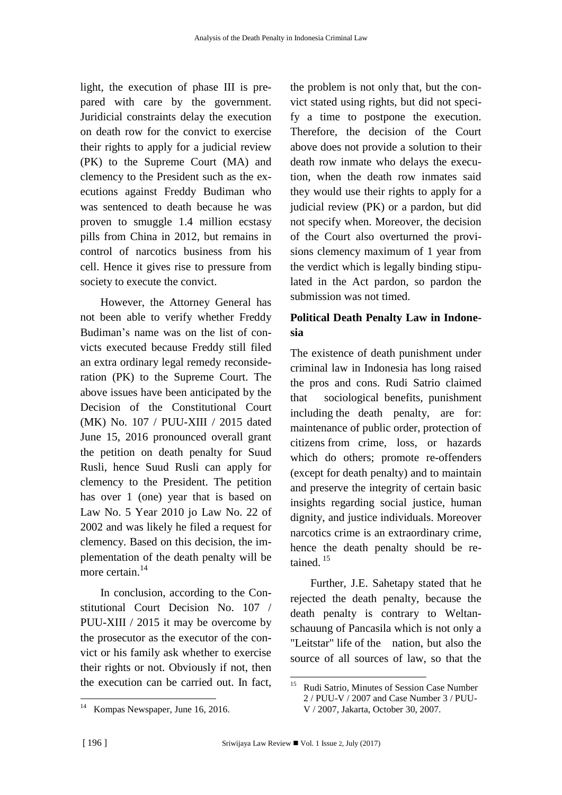light, the execution of phase III is prepared with care by the government. Juridicial constraints delay the execution on death row for the convict to exercise their rights to apply for a judicial review (PK) to the Supreme Court (MA) and clemency to the President such as the executions against Freddy Budiman who was sentenced to death because he was proven to smuggle 1.4 million ecstasy pills from China in 2012, but remains in control of narcotics business from his cell. Hence it gives rise to pressure from society to execute the convict.

However, the Attorney General has not been able to verify whether Freddy Budiman's name was on the list of convicts executed because Freddy still filed an extra ordinary legal remedy reconsideration (PK) to the Supreme Court. The above issues have been anticipated by the Decision of the Constitutional Court (MK) No. 107 / PUU-XIII / 2015 dated June 15, 2016 pronounced overall grant the petition on death penalty for Suud Rusli, hence Suud Rusli can apply for clemency to the President. The petition has over 1 (one) year that is based on Law No. 5 Year 2010 jo Law No. 22 of 2002 and was likely he filed a request for clemency. Based on this decision, the implementation of the death penalty will be more certain.<sup>14</sup>

In conclusion, according to the Constitutional Court Decision No. 107 / PUU-XIII / 2015 it may be overcome by the prosecutor as the executor of the convict or his family ask whether to exercise their rights or not. Obviously if not, then the execution can be carried out. In fact,

the problem is not only that, but the convict stated using rights, but did not specify a time to postpone the execution. Therefore, the decision of the Court above does not provide a solution to their death row inmate who delays the execution, when the death row inmates said they would use their rights to apply for a judicial review (PK) or a pardon, but did not specify when. Moreover, the decision of the Court also overturned the provisions clemency maximum of 1 year from the verdict which is legally binding stipulated in the Act pardon, so pardon the submission was not timed.

## **Political Death Penalty Law in Indonesia**

The existence of death punishment under criminal law in Indonesia has long raised the pros and cons. Rudi Satrio claimed that sociological benefits, punishment including the death penalty, are for: maintenance of public order, protection of citizens from crime, loss, or hazards which do others; promote re-offenders (except for death penalty) and to maintain and preserve the integrity of certain basic insights regarding social justice, human dignity, and justice individuals. Moreover narcotics crime is an extraordinary crime, hence the death penalty should be retained. <sup>15</sup>

Further, J.E. Sahetapy stated that he rejected the death penalty, because the death penalty is contrary to Weltanschauung of Pancasila which is not only a "Leitstar" life of the nation, but also the source of all sources of law, so that the

**<sup>.</sup>** Kompas Newspaper, June 16, 2016.

 $15<sub>15</sub>$ <sup>15</sup> Rudi Satrio, Minutes of Session Case Number 2 / PUU-V / 2007 and Case Number 3 / PUU-V / 2007, Jakarta, October 30, 2007.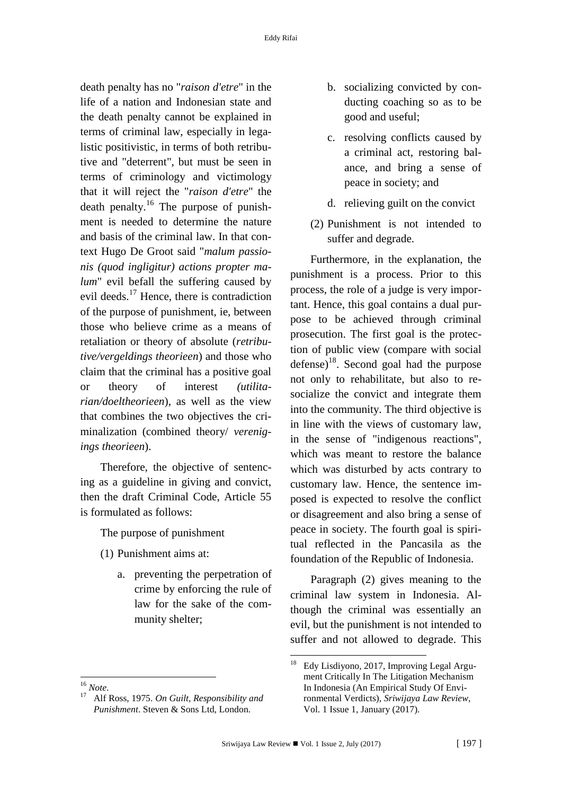death penalty has no "*raison d'etre*" in the life of a nation and Indonesian state and the death penalty cannot be explained in terms of criminal law, especially in legalistic positivistic, in terms of both retributive and "deterrent", but must be seen in terms of criminology and victimology that it will reject the "*raison d'etre*" the death penalty.<sup>16</sup> The purpose of punishment is needed to determine the nature and basis of the criminal law. In that context Hugo De Groot said "*malum passionis (quod ingligitur) actions propter malum*" evil befall the suffering caused by evil deeds.<sup>17</sup> Hence, there is contradiction of the purpose of punishment, ie, between those who believe crime as a means of retaliation or theory of absolute (*retributive/vergeldings theorieen*) and those who claim that the criminal has a positive goal or theory of interest *(utilitarian/doeltheorieen*), as well as the view that combines the two objectives the criminalization (combined theory/ *verenigings theorieen*).

Therefore, the objective of sentencing as a guideline in giving and convict, then the draft Criminal Code, Article 55 is formulated as follows:

The purpose of punishment

- (1) Punishment aims at:
	- a. preventing the perpetration of crime by enforcing the rule of law for the sake of the community shelter;
- b. socializing convicted by conducting coaching so as to be good and useful;
- c. resolving conflicts caused by a criminal act, restoring balance, and bring a sense of peace in society; and
- d. relieving guilt on the convict
- (2) Punishment is not intended to suffer and degrade.

Furthermore, in the explanation, the punishment is a process. Prior to this process, the role of a judge is very important. Hence, this goal contains a dual purpose to be achieved through criminal prosecution. The first goal is the protection of public view (compare with social defense)<sup>18</sup>. Second goal had the purpose not only to rehabilitate, but also to resocialize the convict and integrate them into the community. The third objective is in line with the views of customary law, in the sense of "indigenous reactions", which was meant to restore the balance which was disturbed by acts contrary to customary law. Hence, the sentence imposed is expected to resolve the conflict or disagreement and also bring a sense of peace in society. The fourth goal is spiritual reflected in the Pancasila as the foundation of the Republic of Indonesia.

Paragraph (2) gives meaning to the criminal law system in Indonesia. Although the criminal was essentially an evil, but the punishment is not intended to suffer and not allowed to degrade. This

**.** 

<sup>-</sup><sup>18</sup> Edy Lisdiyono, 2017, Improving Legal Argument Critically In The Litigation Mechanism In Indonesia (An Empirical Study Of Environmental Verdicts), *Sriwijaya Law Review,* Vol. 1 Issue 1, January (2017).

<sup>16</sup> *Note*.

<sup>17</sup> Alf Ross, 1975. *On Guilt, Responsibility and Punishment*. Steven & Sons Ltd, London.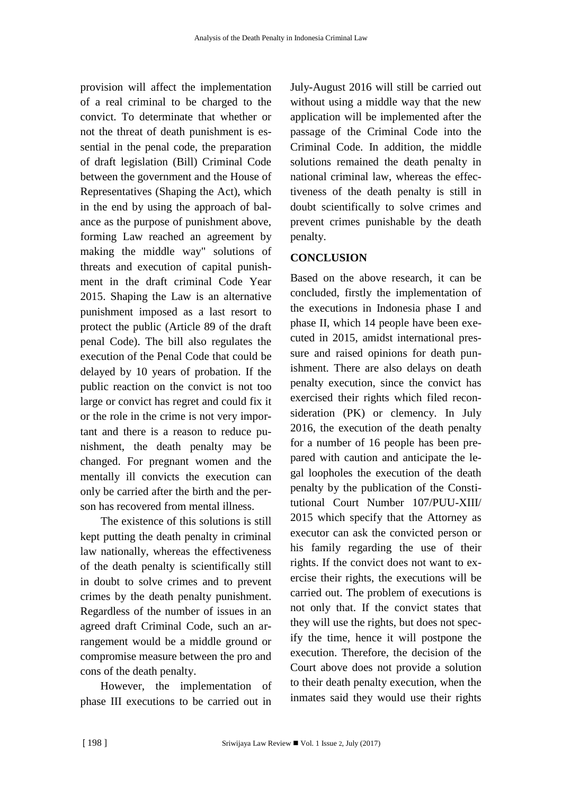provision will affect the implementation of a real criminal to be charged to the convict. To determinate that whether or not the threat of death punishment is essential in the penal code, the preparation of draft legislation (Bill) Criminal Code between the government and the House of Representatives (Shaping the Act), which in the end by using the approach of balance as the purpose of punishment above, forming Law reached an agreement by making the middle way" solutions of threats and execution of capital punishment in the draft criminal Code Year 2015. Shaping the Law is an alternative punishment imposed as a last resort to protect the public (Article 89 of the draft penal Code). The bill also regulates the execution of the Penal Code that could be delayed by 10 years of probation. If the public reaction on the convict is not too large or convict has regret and could fix it or the role in the crime is not very important and there is a reason to reduce punishment, the death penalty may be changed. For pregnant women and the mentally ill convicts the execution can only be carried after the birth and the person has recovered from mental illness.

The existence of this solutions is still kept putting the death penalty in criminal law nationally, whereas the effectiveness of the death penalty is scientifically still in doubt to solve crimes and to prevent crimes by the death penalty punishment. Regardless of the number of issues in an agreed draft Criminal Code, such an arrangement would be a middle ground or compromise measure between the pro and cons of the death penalty.

However, the implementation of phase III executions to be carried out in

July-August 2016 will still be carried out without using a middle way that the new application will be implemented after the passage of the Criminal Code into the Criminal Code. In addition, the middle solutions remained the death penalty in national criminal law, whereas the effectiveness of the death penalty is still in doubt scientifically to solve crimes and prevent crimes punishable by the death penalty.

### **CONCLUSION**

Based on the above research, it can be concluded, firstly the implementation of the executions in Indonesia phase I and phase II, which 14 people have been executed in 2015, amidst international pressure and raised opinions for death punishment. There are also delays on death penalty execution, since the convict has exercised their rights which filed reconsideration (PK) or clemency. In July 2016, the execution of the death penalty for a number of 16 people has been prepared with caution and anticipate the legal loopholes the execution of the death penalty by the publication of the Constitutional Court Number 107/PUU-XIII/ 2015 which specify that the Attorney as executor can ask the convicted person or his family regarding the use of their rights. If the convict does not want to exercise their rights, the executions will be carried out. The problem of executions is not only that. If the convict states that they will use the rights, but does not specify the time, hence it will postpone the execution. Therefore, the decision of the Court above does not provide a solution to their death penalty execution, when the inmates said they would use their rights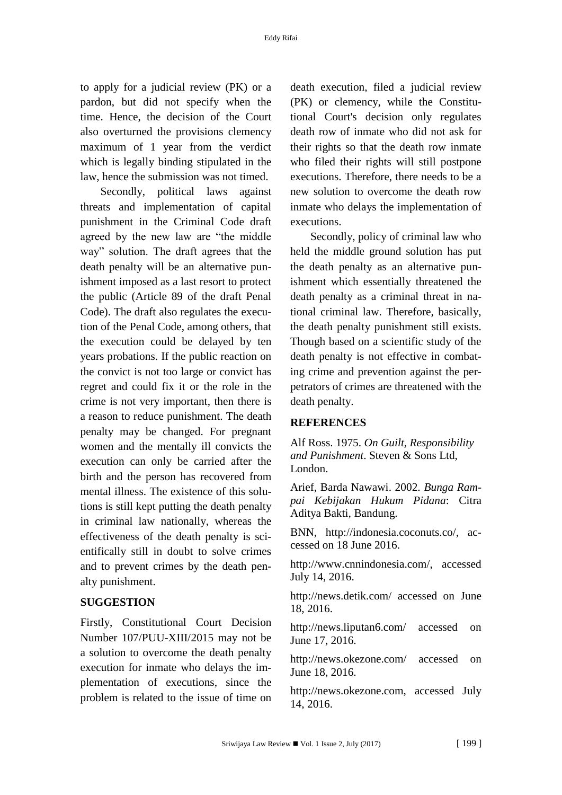to apply for a judicial review (PK) or a pardon, but did not specify when the time. Hence, the decision of the Court also overturned the provisions clemency maximum of 1 year from the verdict which is legally binding stipulated in the law, hence the submission was not timed.

Secondly, political laws against threats and implementation of capital punishment in the Criminal Code draft agreed by the new law are "the middle way" solution. The draft agrees that the death penalty will be an alternative punishment imposed as a last resort to protect the public (Article 89 of the draft Penal Code). The draft also regulates the execution of the Penal Code, among others, that the execution could be delayed by ten years probations. If the public reaction on the convict is not too large or convict has regret and could fix it or the role in the crime is not very important, then there is a reason to reduce punishment. The death penalty may be changed. For pregnant women and the mentally ill convicts the execution can only be carried after the birth and the person has recovered from mental illness. The existence of this solutions is still kept putting the death penalty in criminal law nationally, whereas the effectiveness of the death penalty is scientifically still in doubt to solve crimes and to prevent crimes by the death penalty punishment.

#### **SUGGESTION**

Firstly, Constitutional Court Decision Number 107/PUU-XIII/2015 may not be a solution to overcome the death penalty execution for inmate who delays the implementation of executions, since the problem is related to the issue of time on

death execution, filed a judicial review (PK) or clemency, while the Constitutional Court's decision only regulates death row of inmate who did not ask for their rights so that the death row inmate who filed their rights will still postpone executions. Therefore, there needs to be a new solution to overcome the death row inmate who delays the implementation of executions.

Secondly, policy of criminal law who held the middle ground solution has put the death penalty as an alternative punishment which essentially threatened the death penalty as a criminal threat in national criminal law. Therefore, basically, the death penalty punishment still exists. Though based on a scientific study of the death penalty is not effective in combating crime and prevention against the perpetrators of crimes are threatened with the death penalty.

#### **REFERENCES**

Alf Ross. 1975. *On Guilt, Responsibility and Punishment*. Steven & Sons Ltd, London.

Arief, Barda Nawawi. 2002. *Bunga Rampai Kebijakan Hukum Pidana*: Citra Aditya Bakti, Bandung.

BNN, http://indonesia.coconuts.co/, accessed on 18 June 2016.

http://www.cnnindonesia.com/, accessed July 14, 2016.

http://news.detik.com/ accessed on June 18, 2016.

http://news.liputan6.com/ accessed on June 17, 2016.

http://news.okezone.com/ accessed on June 18, 2016.

http://news.okezone.com, accessed July 14, 2016.